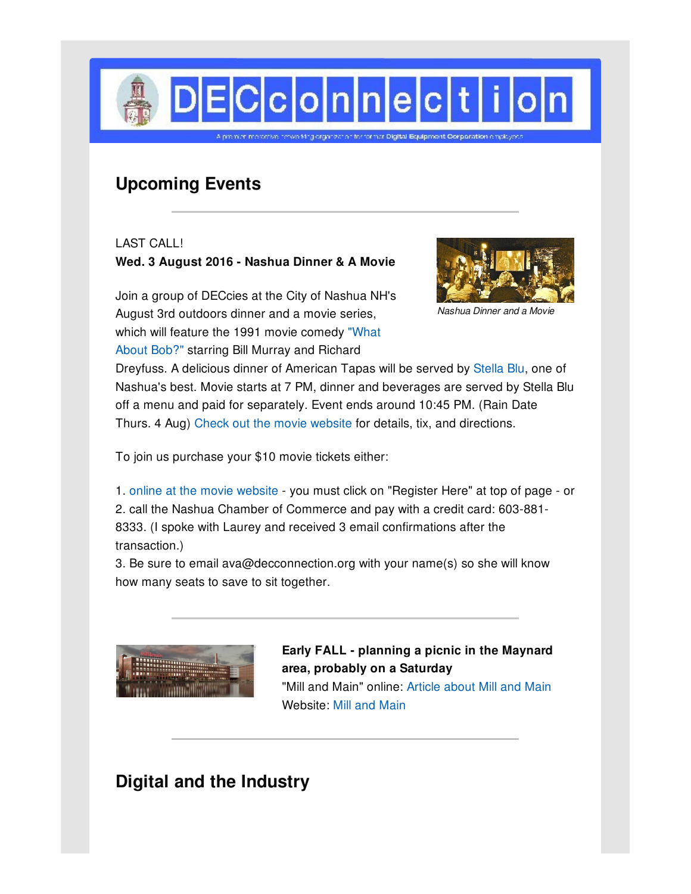

# **Upcoming Events**

LAST CALL! **Wed. 3 August 2016 - Nashua Dinner & A Movie**

Join a group of DECcies at the City of Nashua NH's August 3rd outdoors dinner and a movie series, which will feature the 1991 movie [comedy](http://www.nashuamovies.com/schedule-2/what-about-bob-1991-august-3rd/) "What About Bob?" starring Bill Murray and Richard



*Nashua Dinner and a Movie*

Dreyfuss. A delicious dinner of American Tapas will be served by [Stella](http://www.stellablu-nh.com/) Blu, one of Nashua's best. Movie starts at 7 PM, dinner and beverages are served by Stella Blu off a menu and paid for separately. Event ends around 10:45 PM. (Rain Date Thurs. 4 Aug) Check out the movie [website](http://www.nashuamovies.com) for details, tix, and directions.

To join us purchase your \$10 movie tickets either:

1. online at the movie [website](http://www.nashuamovies.com/schedule-2/what-about-bob-1991-august-3rd/) - you must click on "Register Here" at top of page - or 2. call the Nashua Chamber of Commerce and pay with a credit card: 603-881- 8333. (I spoke with Laurey and received 3 email confirmations after the transaction.)

3. Be sure to email ava@decconnection.org with your name(s) so she will know how many seats to save to sit together.



**Early FALL - planning a picnic in the Maynard area, probably on a Saturday** "Mill and Main" online: [Article](http://maynard.wickedlocal.com/article/20150618/NEWS/150616023) about Mill and Main Website: Mill and [Main](http://mill-and-main.com/)

# **Digital and the Industry**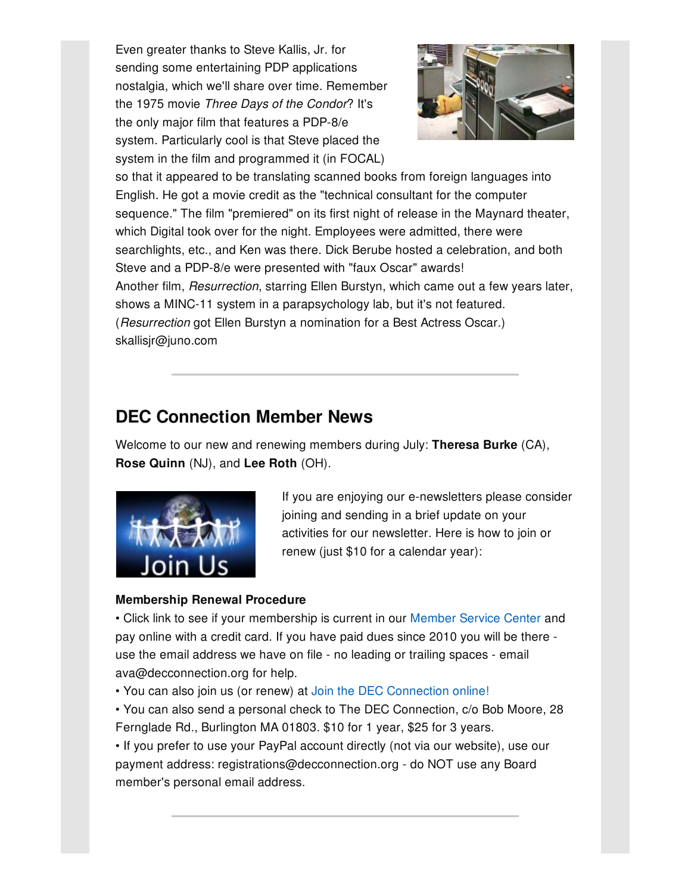Even greater thanks to Steve Kallis, Jr. for sending some entertaining PDP applications nostalgia, which we'll share over time. Remember the 1975 movie *Three Days of the Condor*? It's the only major film that features a PDP-8/e system. Particularly cool is that Steve placed the system in the film and programmed it (in FOCAL)



so that it appeared to be translating scanned books from foreign languages into English. He got a movie credit as the "technical consultant for the computer sequence." The film "premiered" on its first night of release in the Maynard theater, which Digital took over for the night. Employees were admitted, there were searchlights, etc., and Ken was there. Dick Berube hosted a celebration, and both Steve and a PDP-8/e were presented with "faux Oscar" awards! Another film, *Resurrection*, starring Ellen Burstyn, which came out a few years later, shows a MINC-11 system in a parapsychology lab, but it's not featured. (*Resurrection* got Ellen Burstyn a nomination for a Best Actress Oscar.) skallisjr@juno.com

### **DEC Connection Member News**

Welcome to our new and renewing members during July: **Theresa Burke** (CA), **Rose Quinn** (NJ), and **Lee Roth** (OH).



If you are enjoying our e-newsletters please consider joining and sending in a brief update on your activities for our newsletter. Here is how to join or renew (just \$10 for a calendar year):

### **Membership Renewal Procedure**

• Click link to see if your membership is current in our [Member](http://www.decconnection.org/msclogin.php) Service Center and pay online with a credit card. If you have paid dues since 2010 you will be there use the email address we have on file - no leading or trailing spaces - email ava@decconnection.org for help.

• You can also join us (or renew) at Join the DEC [Connection](http://www.decconnection.org/join-online.htm) online!

• You can also send a personal check to The DEC Connection, c/o Bob Moore, 28 Fernglade Rd., Burlington MA 01803. \$10 for 1 year, \$25 for 3 years.

• If you prefer to use your PayPal account directly (not via our website), use our payment address: registrations@decconnection.org - do NOT use any Board member's personal email address.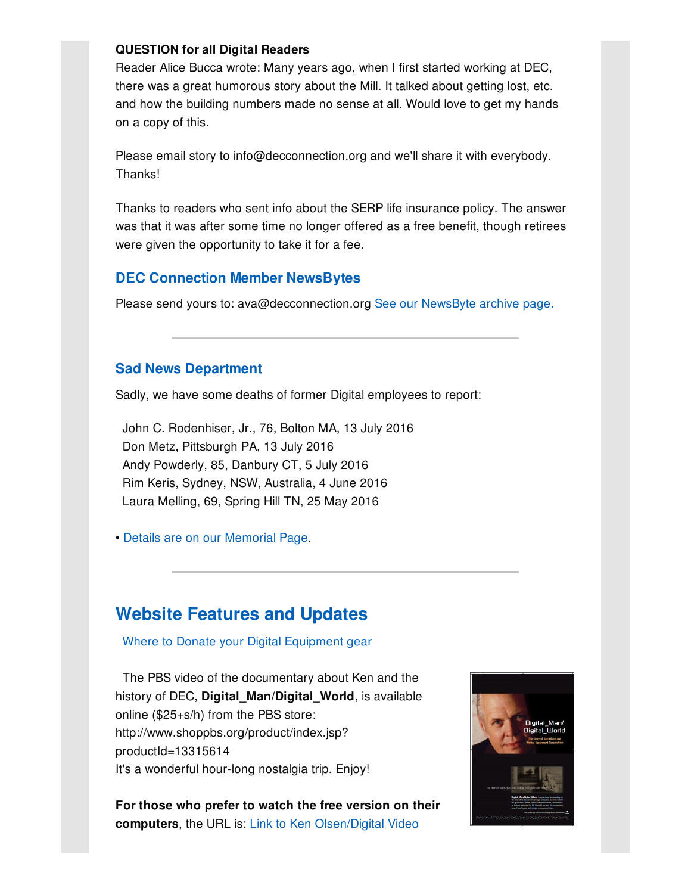#### **QUESTION for all Digital Readers**

Reader Alice Bucca wrote: Many years ago, when I first started working at DEC, there was a great humorous story about the Mill. It talked about getting lost, etc. and how the building numbers made no sense at all. Would love to get my hands on a copy of this.

Please email story to info@decconnection.org and we'll share it with everybody. Thanks!

Thanks to readers who sent info about the SERP life insurance policy. The answer was that it was after some time no longer offered as a free benefit, though retirees were given the opportunity to take it for a fee.

#### **DEC Connection Member NewsBytes**

Please send yours to: ava@decconnection.org See our [NewsByte](http://www.decconnection.org/newsbytes.htm) archive page.

#### **Sad News Department**

Sadly, we have some deaths of former Digital employees to report:

John C. Rodenhiser, Jr., 76, Bolton MA, 13 July 2016 Don Metz, Pittsburgh PA, 13 July 2016 Andy Powderly, 85, Danbury CT, 5 July 2016 Rim Keris, Sydney, NSW, Australia, 4 June 2016 Laura Melling, 69, Spring Hill TN, 25 May 2016

• Details are on our [Memorial](http://www.decconnection.org/memorials.htm) Page.

### **Website [Features](http://www.decconnection.org) and Updates**

Where to Donate your Digital [Equipment](http://www.decconnection.org/DECdonations.htm) gear

The PBS video of the documentary about Ken and the history of DEC, **Digital\_Man/Digital\_World**, is available online (\$25+s/h) from the PBS store: http://www.shoppbs.org/product/index.jsp? productId=13315614 It's a wonderful hour-long nostalgia trip. Enjoy!

**For those who prefer to watch the free version on their computers**, the URL is: Link to Ken [Olsen/Digital](http://video.wfyi.org/video/2282149336/) Video